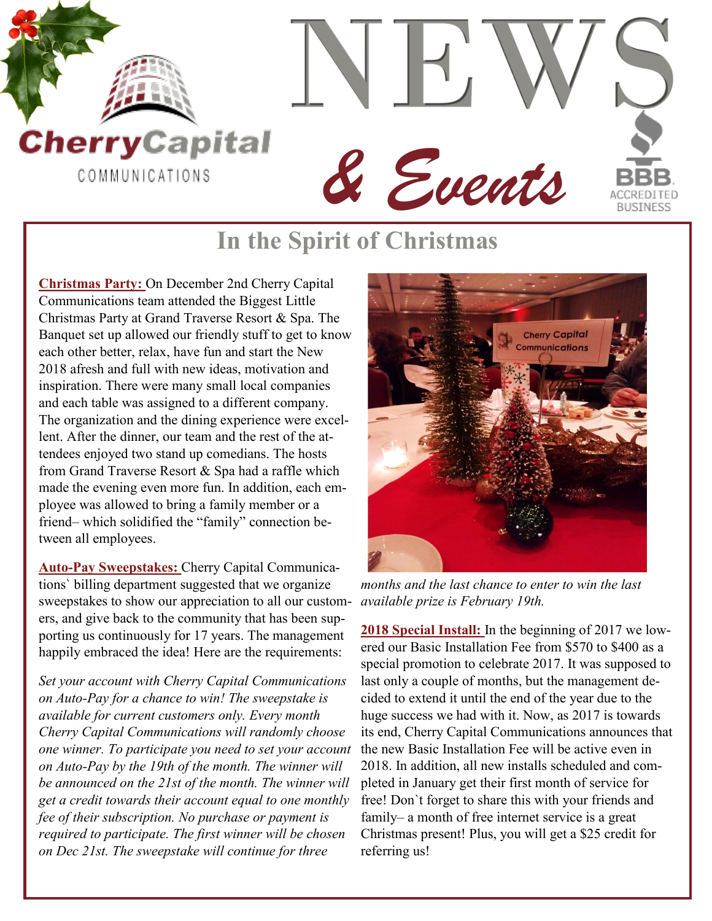

## **In the Spirit of Christmas**

**Christmas Party:** On December 2nd Cherry Capital Communications team attended the Biggest Little Christmas Party at Grand Traverse Resort & Spa. The Banquet set up allowed our friendly stuff to get to know each other better, relax, have fun and start the New 2018 afresh and full with new ideas, motivation and inspiration. There were many small local companies and each table was assigned to a different company. The organization and the dining experience were excellent. After the dinner, our team and the rest of the attendees enjoyed two stand up comedians. The hosts from Grand Traverse Resort & Spa had a raffle which made the evening even more fun. In addition, each employee was allowed to bring a family member or a friend– which solidified the "family" connection between all employees.

**Auto-Pay Sweepstakes:** Cherry Capital Communications` billing department suggested that we organize sweepstakes to show our appreciation to all our customers, and give back to the community that has been supporting us continuously for 17 years. The management happily embraced the idea! Here are the requirements:

*Set your account with Cherry Capital Communications on Auto-Pay for a chance to win! The sweepstake is available for current customers only. Every month Cherry Capital Communications will randomly choose one winner. To participate you need to set your account on Auto-Pay by the 19th of the month. The winner will be announced on the 21st of the month. The winner will get a credit towards their account equal to one monthly fee of their subscription. No purchase or payment is required to participate. The first winner will be chosen on Dec 21st. The sweepstake will continue for three* 



*months and the last chance to enter to win the last available prize is February 19th.*

**2018 Special Install:** In the beginning of 2017 we lowered our Basic Installation Fee from \$570 to \$400 as a special promotion to celebrate 2017. It was supposed to last only a couple of months, but the management decided to extend it until the end of the year due to the huge success we had with it. Now, as 2017 is towards its end, Cherry Capital Communications announces that the new Basic Installation Fee will be active even in 2018. In addition, all new installs scheduled and completed in January get their first month of service for free! Don`t forget to share this with your friends and family– a month of free internet service is a great Christmas present! Plus, you will get a \$25 credit for referring us!